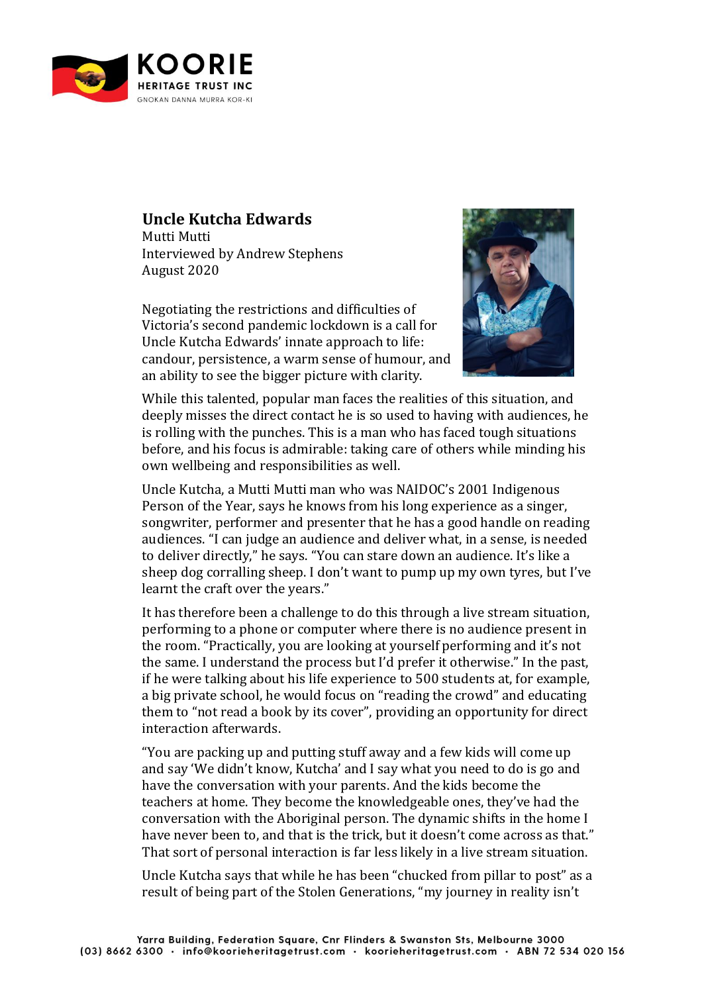

## **Uncle Kutcha Edwards**

Mutti Mutti Interviewed by Andrew Stephens August 2020

Negotiating the restrictions and difficulties of Victoria's second pandemic lockdown is a call for Uncle Kutcha Edwards' innate approach to life: candour, persistence, a warm sense of humour, and an ability to see the bigger picture with clarity.



While this talented, popular man faces the realities of this situation, and deeply misses the direct contact he is so used to having with audiences, he is rolling with the punches. This is a man who has faced tough situations before, and his focus is admirable: taking care of others while minding his own wellbeing and responsibilities as well.

Uncle Kutcha, a Mutti Mutti man who was NAIDOC's 2001 Indigenous Person of the Year, says he knows from his long experience as a singer, songwriter, performer and presenter that he has a good handle on reading audiences. "I can judge an audience and deliver what, in a sense, is needed to deliver directly," he says. "You can stare down an audience. It's like a sheep dog corralling sheep. I don't want to pump up my own tyres, but I've learnt the craft over the years."

It has therefore been a challenge to do this through a live stream situation, performing to a phone or computer where there is no audience present in the room. "Practically, you are looking at yourself performing and it's not the same. I understand the process but I'd prefer it otherwise." In the past, if he were talking about his life experience to 500 students at, for example, a big private school, he would focus on "reading the crowd" and educating them to "not read a book by its cover", providing an opportunity for direct interaction afterwards.

"You are packing up and putting stuff away and a few kids will come up and say 'We didn't know, Kutcha' and I say what you need to do is go and have the conversation with your parents. And the kids become the teachers at home. They become the knowledgeable ones, they've had the conversation with the Aboriginal person. The dynamic shifts in the home I have never been to, and that is the trick, but it doesn't come across as that." That sort of personal interaction is far less likely in a live stream situation.

Uncle Kutcha says that while he has been "chucked from pillar to post" as a result of being part of the Stolen Generations, "my journey in reality isn't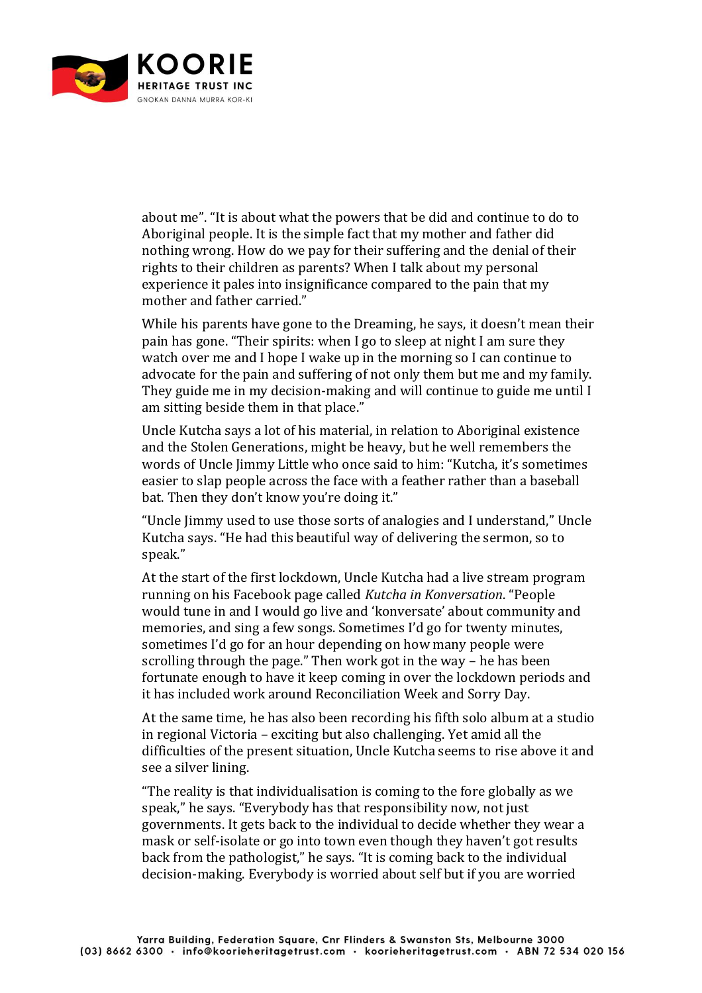

about me". "It is about what the powers that be did and continue to do to Aboriginal people. It is the simple fact that my mother and father did nothing wrong. How do we pay for their suffering and the denial of their rights to their children as parents? When I talk about my personal experience it pales into insignificance compared to the pain that my mother and father carried."

While his parents have gone to the Dreaming, he says, it doesn't mean their pain has gone. "Their spirits: when I go to sleep at night I am sure they watch over me and I hope I wake up in the morning so I can continue to advocate for the pain and suffering of not only them but me and my family. They guide me in my decision-making and will continue to guide me until I am sitting beside them in that place."

Uncle Kutcha says a lot of his material, in relation to Aboriginal existence and the Stolen Generations, might be heavy, but he well remembers the words of Uncle Jimmy Little who once said to him: "Kutcha, it's sometimes easier to slap people across the face with a feather rather than a baseball bat. Then they don't know you're doing it."

"Uncle Jimmy used to use those sorts of analogies and I understand," Uncle Kutcha says. "He had this beautiful way of delivering the sermon, so to speak."

At the start of the first lockdown, Uncle Kutcha had a live stream program running on his Facebook page called *Kutcha in Konversation*. "People would tune in and I would go live and 'konversate' about community and memories, and sing a few songs. Sometimes I'd go for twenty minutes, sometimes I'd go for an hour depending on how many people were scrolling through the page." Then work got in the way – he has been fortunate enough to have it keep coming in over the lockdown periods and it has included work around Reconciliation Week and Sorry Day.

At the same time, he has also been recording his fifth solo album at a studio in regional Victoria – exciting but also challenging. Yet amid all the difficulties of the present situation, Uncle Kutcha seems to rise above it and see a silver lining.

"The reality is that individualisation is coming to the fore globally as we speak," he says. "Everybody has that responsibility now, not just governments. It gets back to the individual to decide whether they wear a mask or self-isolate or go into town even though they haven't got results back from the pathologist," he says. "It is coming back to the individual decision-making. Everybody is worried about self but if you are worried